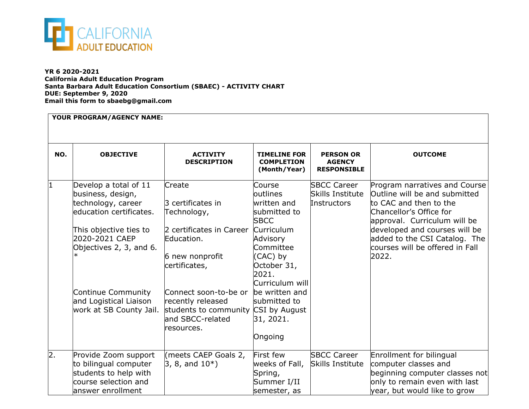

**YR 6 2020-2021 California Adult Education Program Santa Barbara Adult Education Consortium (SBAEC) - ACTIVITY CHART DUE: September 9, 2020 Email this form to sbaebg@gmail.com**

| YOUR PROGRAM/AGENCY NAME: |                                                                                                                                                                                                                                                |                                                                                                                                                                                                                                    |                                                                                                                                                                                                                                                          |                                                         |                                                                                                                                                                                                                                                                   |  |  |  |
|---------------------------|------------------------------------------------------------------------------------------------------------------------------------------------------------------------------------------------------------------------------------------------|------------------------------------------------------------------------------------------------------------------------------------------------------------------------------------------------------------------------------------|----------------------------------------------------------------------------------------------------------------------------------------------------------------------------------------------------------------------------------------------------------|---------------------------------------------------------|-------------------------------------------------------------------------------------------------------------------------------------------------------------------------------------------------------------------------------------------------------------------|--|--|--|
| NO.                       | <b>OBJECTIVE</b>                                                                                                                                                                                                                               | <b>ACTIVITY</b><br><b>DESCRIPTION</b>                                                                                                                                                                                              | <b>TIMELINE FOR</b><br><b>COMPLETION</b><br>(Month/Year)                                                                                                                                                                                                 | <b>PERSON OR</b><br><b>AGENCY</b><br><b>RESPONSIBLE</b> | <b>OUTCOME</b>                                                                                                                                                                                                                                                    |  |  |  |
|                           | Develop a total of 11<br>business, design,<br>technology, career<br>leducation certificates.<br>This objective ties to<br>2020-2021 CAEP<br>Objectives 2, 3, and 6.<br>Continue Community<br>and Logistical Liaison<br>work at SB County Jail. | Create<br>3 certificates in<br>Technology,<br>2 certificates in Career<br>Education.<br>6 new nonprofit<br>certificates,<br>Connect soon-to-be or<br>recently released<br>students to community<br>land SBCC-related<br>resources. | Course<br>loutlines<br>written and<br>submitted to<br><b>SBCC</b><br><b>Curriculum</b><br>Advisory<br><b>Committee</b><br>(CAC) by<br>October 31,<br>2021.<br>Curriculum will<br>be written and<br>submitted to<br>CSI by August<br>31, 2021.<br>Ongoing | <b>SBCC Career</b><br>Skills Institute<br>Instructors   | Program narratives and Course<br>Outline will be and submitted<br>to CAC and then to the<br>Chancellor's Office for<br>approval. Curriculum will be<br>developed and courses will be<br>added to the CSI Catalog. The<br>courses will be offered in Fall<br>2022. |  |  |  |
| $\overline{2}$ .          | Provide Zoom support<br>to bilingual computer<br>students to help with<br>course selection and<br>answer enrollment                                                                                                                            | (meets CAEP Goals 2,<br>$ 3, 8,$ and $10^*$ )                                                                                                                                                                                      | First few<br>weeks of Fall,<br>Spring,<br>Summer I/II<br>semester, as                                                                                                                                                                                    | <b>SBCC Career</b><br><b>Skills Institute</b>           | Enrollment for bilingual<br>computer classes and<br>beginning computer classes not<br>only to remain even with last<br>year, but would like to grow                                                                                                               |  |  |  |